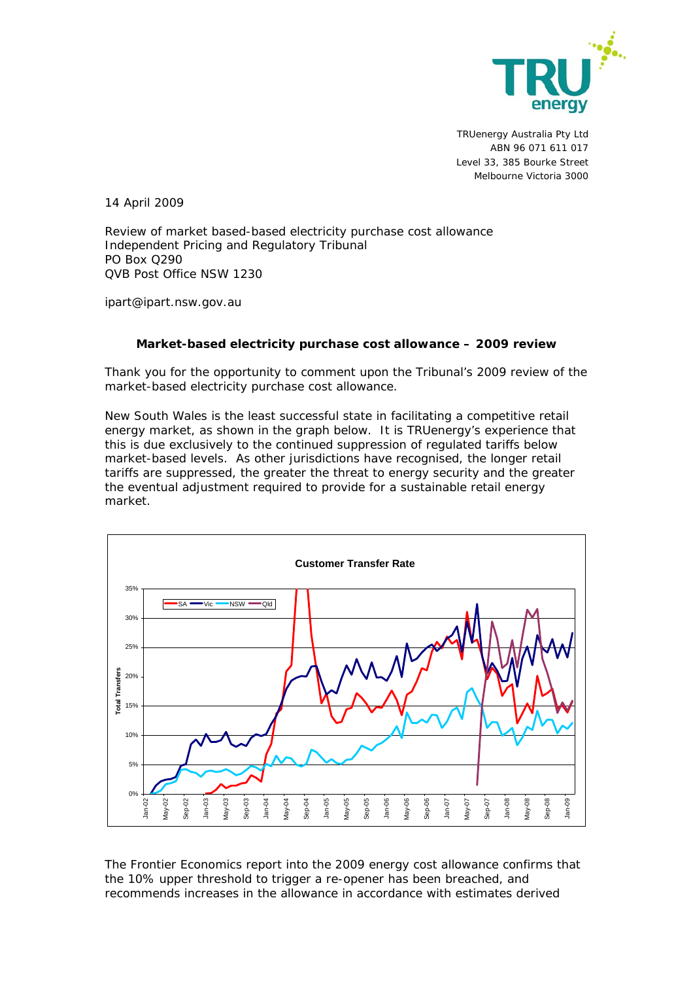

TRUenergy Australia Pty Ltd ABN 96 071 611 017 Level 33, 385 Bourke Street Melbourne Victoria 3000

14 April 2009

Review of market based-based electricity purchase cost allowance Independent Pricing and Regulatory Tribunal PO Box Q290 QVB Post Office NSW 1230

ipart@ipart.nsw.gov.au

## **Market-based electricity purchase cost allowance – 2009 review**

Thank you for the opportunity to comment upon the Tribunal's 2009 review of the market-based electricity purchase cost allowance*.* 

New South Wales is the least successful state in facilitating a competitive retail energy market, as shown in the graph below. It is TRUenergy's experience that this is due exclusively to the continued suppression of regulated tariffs below market-based levels. As other jurisdictions have recognised, the longer retail tariffs are suppressed, the greater the threat to energy security and the greater the eventual adjustment required to provide for a sustainable retail energy market.



The Frontier Economics report into the 2009 energy cost allowance confirms that the 10% upper threshold to trigger a re-opener has been breached, and recommends increases in the allowance in accordance with estimates derived